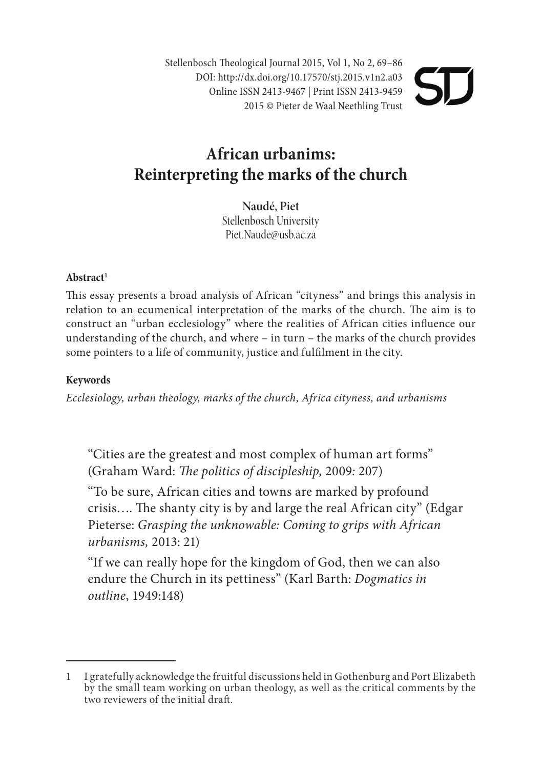Stellenbosch Theological Journal 2015, Vol 1, No 2, 69-86 DOI: http://dx.doi.org/10.17570/stj.2015.v1n2.a03 Online ISSN 2413-9467 | Print ISSN 2413-9459 2015 © Pieter de Waal Neethling Trust

# **African urbanims: Reinterpreting the marks of the church**

**Naudé, Piet** Stellenbosch University Piet.Naude@usb.ac.za

#### Abstract<sup>1</sup>

This essay presents a broad analysis of African "cityness" and brings this analysis in relation to an ecumenical interpretation of the marks of the church. The aim is to construct an "urban ecclesiology" where the realities of African cities influence our understanding of the church, and where – in turn – the marks of the church provides some pointers to a life of community, justice and fulfilment in the city.

#### **Keywords**

*Ecclesiology, urban theology, marks of the church, Africa cityness, and urbanisms*

"Cities are the greatest and most complex of human art forms" (Graham Ward: *The politics of discipleship*, 2009: 207)

"To be sure, African cities and towns are marked by profound crisis.... The shanty city is by and large the real African city" (Edgar Pieterse: *Grasping the unknowable: Coming to grips with African urbanisms,* 2013: 21)

"If we can really hope for the kingdom of God, then we can also endure the Church in its pettiness" (Karl Barth: *Dogmatics in outline*, 1949:148)

<sup>1</sup> I gratefully acknowledge the fruitful discussions held in Gothenburg and Port Elizabeth by the small team working on urban theology, as well as the critical comments by the two reviewers of the initial draft.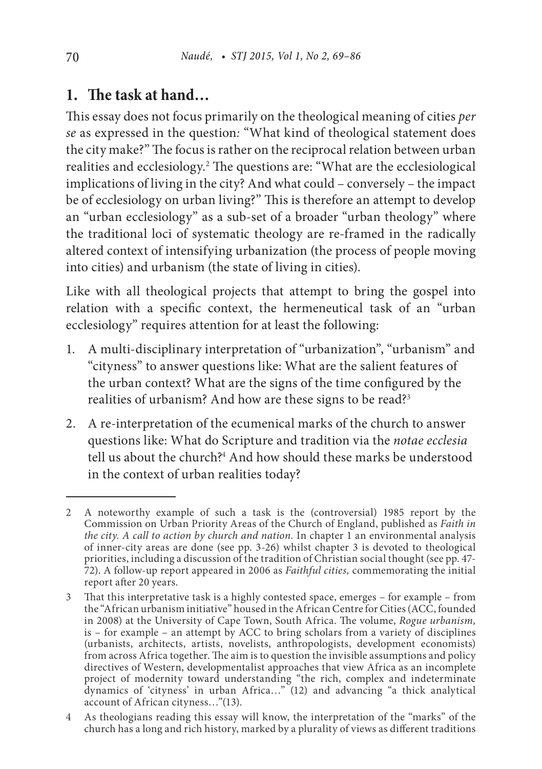## **1. The task at hand…**

This essay does not focus primarily on the theological meaning of cities *per se* as expressed in the question*:* "What kind of theological statement does the city make?" The focus is rather on the reciprocal relation between urban realities and ecclesiology.2 The questions are: "What are the ecclesiological implications of living in the city? And what could – conversely – the impact be of ecclesiology on urban living?" This is therefore an attempt to develop an "urban ecclesiology" as a sub-set of a broader "urban theology" where the traditional loci of systematic theology are re-framed in the radically altered context of intensifying urbanization (the process of people moving into cities) and urbanism (the state of living in cities).

Like with all theological projects that attempt to bring the gospel into relation with a specific context, the hermeneutical task of an "urban ecclesiology" requires attention for at least the following:

- 1. A multi-disciplinary interpretation of "urbanization", "urbanism" and "cityness" to answer questions like: What are the salient features of the urban context? What are the signs of the time configured by the realities of urbanism? And how are these signs to be read?<sup>3</sup>
- 2. A re-interpretation of the ecumenical marks of the church to answer questions like: What do Scripture and tradition via the *notae ecclesia* tell us about the church?4 And how should these marks be understood in the context of urban realities today?

<sup>2</sup> A noteworthy example of such a task is the (controversial) 1985 report by the Commission on Urban Priority Areas of the Church of England, published as *Faith in the city. A call to action by church and nation.* In chapter 1 an environmental analysis of inner-city areas are done (see pp. 3-26) whilst chapter 3 is devoted to theological priorities, including a discussion of the tradition of Christian social thought (see pp. 47- 72). A follow-up report appeared in 2006 as *Faithful cities,* commemorating the initial report after 20 years.

<sup>3</sup> That this interpretative task is a highly contested space, emerges – for example – from the "African urbanism initiative" housed in the African Centre for Cities (ACC, founded in 2008) at the University of Cape Town, South Africa. The volume, *Rogue urbanism,* is – for example – an attempt by ACC to bring scholars from a variety of disciplines (urbanists, architects, artists, novelists, anthropologists, development economists) from across Africa together. The aim is to question the invisible assumptions and policy directives of Western, developmentalist approaches that view Africa as an incomplete project of modernity toward understanding "the rich, complex and indeterminate dynamics of 'cityness' in urban Africa…" (12) and advancing "a thick analytical account of African cityness…"(13).

<sup>4</sup> As theologians reading this essay will know, the interpretation of the "marks" of the church has a long and rich history, marked by a plurality of views as different traditions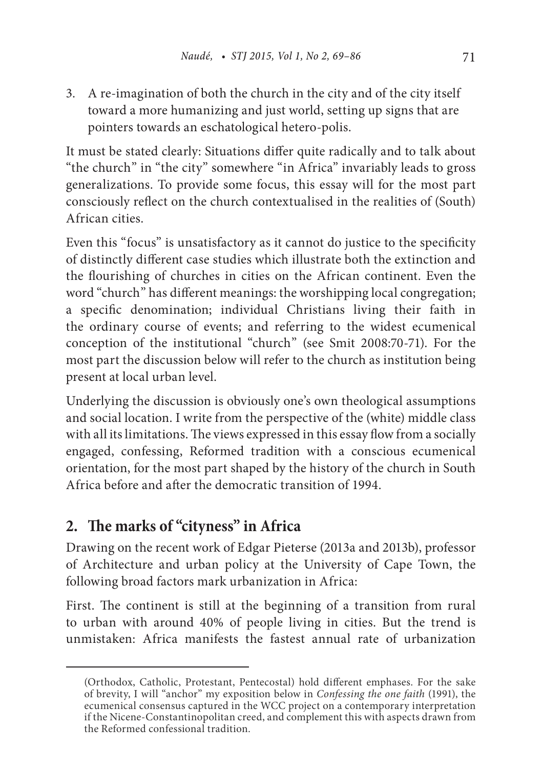3. A re-imagination of both the church in the city and of the city itself toward a more humanizing and just world, setting up signs that are pointers towards an eschatological hetero-polis.

It must be stated clearly: Situations differ quite radically and to talk about "the church" in "the city" somewhere "in Africa" invariably leads to gross generalizations. To provide some focus, this essay will for the most part consciously reflect on the church contextualised in the realities of (South) African cities.

Even this "focus" is unsatisfactory as it cannot do justice to the specificity of distinctly different case studies which illustrate both the extinction and the flourishing of churches in cities on the African continent. Even the word "church" has different meanings: the worshipping local congregation; a specific denomination; individual Christians living their faith in the ordinary course of events; and referring to the widest ecumenical conception of the institutional "church" (see Smit 2008:70-71). For the most part the discussion below will refer to the church as institution being present at local urban level.

Underlying the discussion is obviously one's own theological assumptions and social location. I write from the perspective of the (white) middle class with all its limitations. The views expressed in this essay flow from a socially engaged, confessing, Reformed tradition with a conscious ecumenical orientation, for the most part shaped by the history of the church in South Africa before and after the democratic transition of 1994.

# **2. The marks of "cityness" in Africa**

Drawing on the recent work of Edgar Pieterse (2013a and 2013b), professor of Architecture and urban policy at the University of Cape Town, the following broad factors mark urbanization in Africa:

First. The continent is still at the beginning of a transition from rural to urban with around 40% of people living in cities. But the trend is unmistaken: Africa manifests the fastest annual rate of urbanization

<sup>(</sup>Orthodox, Catholic, Protestant, Pentecostal) hold different emphases. For the sake of brevity, I will "anchor" my exposition below in *Confessing the one faith* (1991), the ecumenical consensus captured in the WCC project on a contemporary interpretation if the Nicene-Constantinopolitan creed, and complement this with aspects drawn from the Reformed confessional tradition.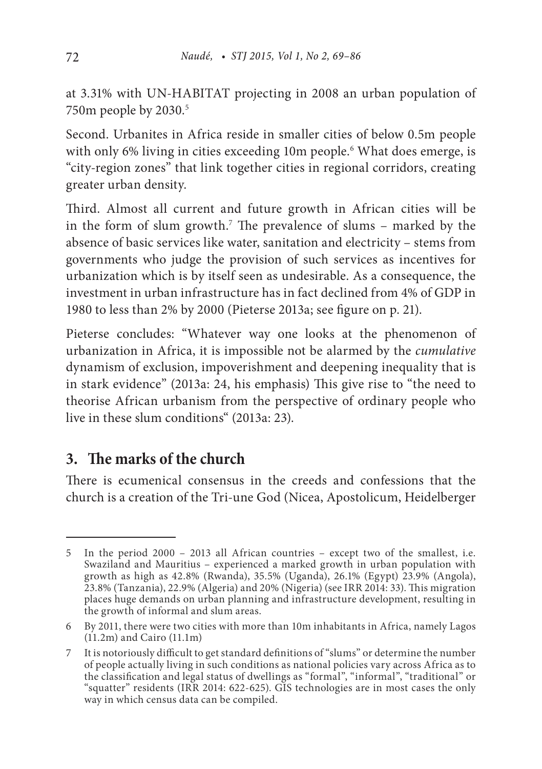at 3.31% with UN-HABITAT projecting in 2008 an urban population of 750m people by 2030.5

Second. Urbanites in Africa reside in smaller cities of below 0.5m people with only 6% living in cities exceeding 10m people.6 What does emerge, is "city-region zones" that link together cities in regional corridors, creating greater urban density.

Third. Almost all current and future growth in African cities will be in the form of slum growth.7 The prevalence of slums – marked by the absence of basic services like water, sanitation and electricity – stems from governments who judge the provision of such services as incentives for urbanization which is by itself seen as undesirable. As a consequence, the investment in urban infrastructure has in fact declined from 4% of GDP in 1980 to less than 2% by 2000 (Pieterse 2013a; see figure on p. 21).

Pieterse concludes: "Whatever way one looks at the phenomenon of urbanization in Africa, it is impossible not be alarmed by the *cumulative* dynamism of exclusion, impoverishment and deepening inequality that is in stark evidence" (2013a: 24, his emphasis) This give rise to "the need to theorise African urbanism from the perspective of ordinary people who live in these slum conditions" (2013a: 23).

# **3. The marks of the church**

There is ecumenical consensus in the creeds and confessions that the church is a creation of the Tri-une God (Nicea, Apostolicum, Heidelberger

<sup>5</sup> In the period 2000 – 2013 all African countries – except two of the smallest, i.e. Swaziland and Mauritius – experienced a marked growth in urban population with growth as high as 42.8% (Rwanda), 35.5% (Uganda), 26.1% (Egypt) 23.9% (Angola), 23.8% (Tanzania), 22.9% (Algeria) and 20% (Nigeria) (see IRR 2014: 33). This migration places huge demands on urban planning and infrastructure development, resulting in the growth of informal and slum areas.

<sup>6</sup> By 2011, there were two cities with more than 10m inhabitants in Africa, namely Lagos  $(11.2m)$  and Cairo  $(11.1m)$ 

<sup>7</sup> It is notoriously difficult to get standard definitions of "slums" or determine the number of people actually living in such conditions as national policies vary across Africa as to the classification and legal status of dwellings as "formal", "informal", "traditional" or "squatter" residents (IRR 2014: 622-625). GIS technologies are in most cases the only way in which census data can be compiled.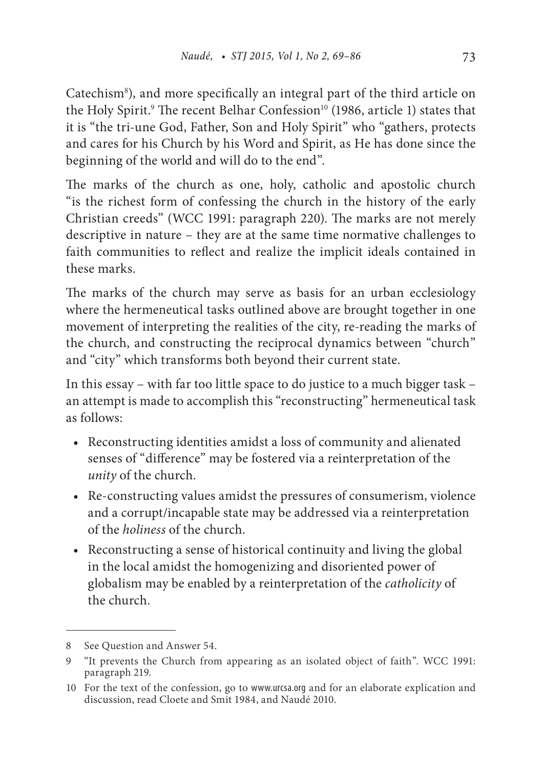Catechism<sup>8</sup>), and more specifically an integral part of the third article on the Holy Spirit.<sup>9</sup> The recent Belhar Confession<sup>10</sup> (1986, article 1) states that it is "the tri-une God, Father, Son and Holy Spirit" who "gathers, protects and cares for his Church by his Word and Spirit, as He has done since the beginning of the world and will do to the end".

The marks of the church as one, holy, catholic and apostolic church "is the richest form of confessing the church in the history of the early Christian creeds" (WCC 1991: paragraph 220). The marks are not merely descriptive in nature – they are at the same time normative challenges to faith communities to reflect and realize the implicit ideals contained in these marks.

The marks of the church may serve as basis for an urban ecclesiology where the hermeneutical tasks outlined above are brought together in one movement of interpreting the realities of the city, re-reading the marks of the church, and constructing the reciprocal dynamics between "church" and "city" which transforms both beyond their current state.

In this essay – with far too little space to do justice to a much bigger task – an attempt is made to accomplish this "reconstructing" hermeneutical task as follows:

- Reconstructing identities amidst a loss of community and alienated senses of "difference" may be fostered via a reinterpretation of the *unity* of the church.
- Re-constructing values amidst the pressures of consumerism, violence and a corrupt/incapable state may be addressed via a reinterpretation of the *holiness* of the church.
- Reconstructing a sense of historical continuity and living the global in the local amidst the homogenizing and disoriented power of globalism may be enabled by a reinterpretation of the *catholicity* of the church.

<sup>8</sup> See Question and Answer 54.

<sup>9</sup> "It prevents the Church from appearing as an isolated object of faith". WCC 1991: paragraph 219.

<sup>10</sup> For the text of the confession, go to www.urcsa.org and for an elaborate explication and discussion, read Cloete and Smit 1984, and Naudé 2010.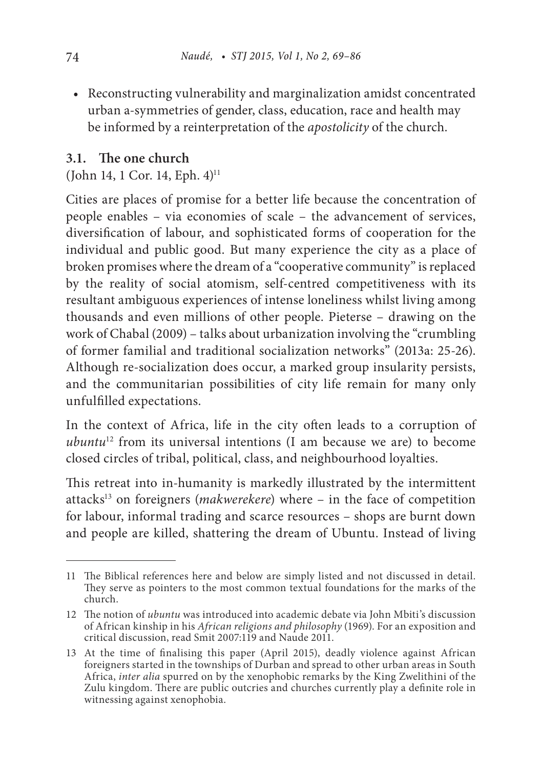• Reconstructing vulnerability and marginalization amidst concentrated urban a-symmetries of gender, class, education, race and health may be informed by a reinterpretation of the *apostolicity* of the church.

### **3.1. The one church**

(John 14, 1 Cor. 14, Eph.  $4$ )<sup>11</sup>

Cities are places of promise for a better life because the concentration of people enables – via economies of scale – the advancement of services, diversification of labour, and sophisticated forms of cooperation for the individual and public good. But many experience the city as a place of broken promises where the dream of a "cooperative community" is replaced by the reality of social atomism, self-centred competitiveness with its resultant ambiguous experiences of intense loneliness whilst living among thousands and even millions of other people. Pieterse – drawing on the work of Chabal (2009) – talks about urbanization involving the "crumbling of former familial and traditional socialization networks" (2013a: 25-26). Although re-socialization does occur, a marked group insularity persists, and the communitarian possibilities of city life remain for many only unfulfilled expectations.

In the context of Africa, life in the city often leads to a corruption of *ubuntu*12 from its universal intentions (I am because we are) to become closed circles of tribal, political, class, and neighbourhood loyalties.

This retreat into in-humanity is markedly illustrated by the intermittent attacks13 on foreigners (*makwerekere*) where – in the face of competition for labour, informal trading and scarce resources – shops are burnt down and people are killed, shattering the dream of Ubuntu. Instead of living

<sup>11</sup> The Biblical references here and below are simply listed and not discussed in detail. They serve as pointers to the most common textual foundations for the marks of the church.

<sup>12</sup> The notion of *ubuntu* was introduced into academic debate via John Mbiti's discussion of African kinship in his *African religions and philosophy* (1969). For an exposition and critical discussion, read Smit 2007:119 and Naude 2011.

<sup>13</sup> At the time of finalising this paper (April 2015), deadly violence against African foreigners started in the townships of Durban and spread to other urban areas in South Africa, *inter alia* spurred on by the xenophobic remarks by the King Zwelithini of the Zulu kingdom. There are public outcries and churches currently play a definite role in witnessing against xenophobia.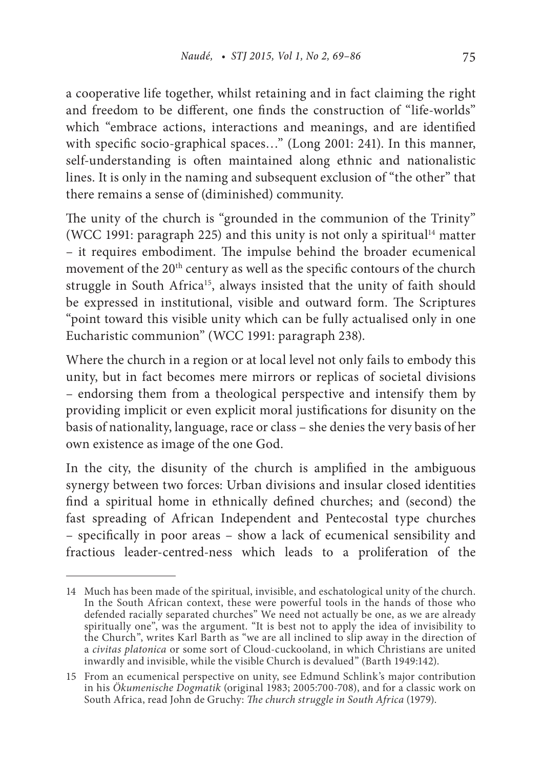a cooperative life together, whilst retaining and in fact claiming the right and freedom to be different, one finds the construction of "life-worlds" which "embrace actions, interactions and meanings, and are identified with specific socio-graphical spaces…" (Long 2001: 241). In this manner, self-understanding is often maintained along ethnic and nationalistic lines. It is only in the naming and subsequent exclusion of "the other" that there remains a sense of (diminished) community.

The unity of the church is "grounded in the communion of the Trinity" (WCC 1991: paragraph 225) and this unity is not only a spiritual<sup>14</sup> matter – it requires embodiment. The impulse behind the broader ecumenical movement of the 20<sup>th</sup> century as well as the specific contours of the church struggle in South Africa<sup>15</sup>, always insisted that the unity of faith should be expressed in institutional, visible and outward form. The Scriptures "point toward this visible unity which can be fully actualised only in one Eucharistic communion" (WCC 1991: paragraph 238).

Where the church in a region or at local level not only fails to embody this unity, but in fact becomes mere mirrors or replicas of societal divisions – endorsing them from a theological perspective and intensify them by providing implicit or even explicit moral justifications for disunity on the basis of nationality, language, race or class – she denies the very basis of her own existence as image of the one God.

In the city, the disunity of the church is amplified in the ambiguous synergy between two forces: Urban divisions and insular closed identities find a spiritual home in ethnically defined churches; and (second) the fast spreading of African Independent and Pentecostal type churches – specifically in poor areas – show a lack of ecumenical sensibility and fractious leader-centred-ness which leads to a proliferation of the

<sup>14</sup> Much has been made of the spiritual, invisible, and eschatological unity of the church. In the South African context, these were powerful tools in the hands of those who defended racially separated churches" We need not actually be one, as we are already spiritually one", was the argument. "It is best not to apply the idea of invisibility to the Church", writes Karl Barth as "we are all inclined to slip away in the direction of a *civitas platonica* or some sort of Cloud-cuckooland, in which Christians are united inwardly and invisible, while the visible Church is devalued" (Barth 1949:142).

<sup>15</sup> From an ecumenical perspective on unity, see Edmund Schlink's major contribution in his *Ökumenische Dogmatik* (original 1983; 2005:700-708), and for a classic work on South Africa, read John de Gruchy: *The church struggle in South Africa* (1979).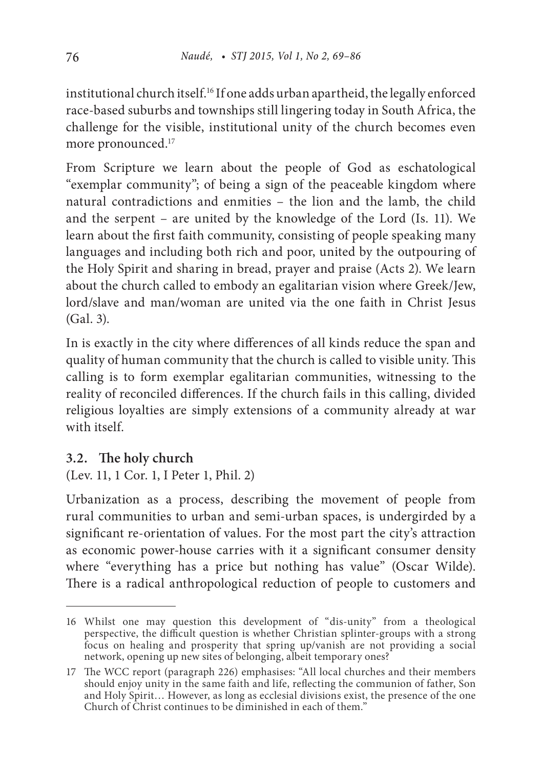institutional church itself.16 If one adds urban apartheid, the legally enforced race-based suburbs and townships still lingering today in South Africa, the challenge for the visible, institutional unity of the church becomes even more pronounced.<sup>17</sup>

From Scripture we learn about the people of God as eschatological "exemplar community"; of being a sign of the peaceable kingdom where natural contradictions and enmities – the lion and the lamb, the child and the serpent – are united by the knowledge of the Lord (Is. 11). We learn about the first faith community, consisting of people speaking many languages and including both rich and poor, united by the outpouring of the Holy Spirit and sharing in bread, prayer and praise (Acts 2). We learn about the church called to embody an egalitarian vision where Greek/Jew, lord/slave and man/woman are united via the one faith in Christ Jesus (Gal. 3).

In is exactly in the city where differences of all kinds reduce the span and quality of human community that the church is called to visible unity. This calling is to form exemplar egalitarian communities, witnessing to the reality of reconciled differences. If the church fails in this calling, divided religious loyalties are simply extensions of a community already at war with itself.

### **3.2. The holy church**

(Lev. 11, 1 Cor. 1, I Peter 1, Phil. 2)

Urbanization as a process, describing the movement of people from rural communities to urban and semi-urban spaces, is undergirded by a significant re-orientation of values. For the most part the city's attraction as economic power-house carries with it a significant consumer density where "everything has a price but nothing has value" (Oscar Wilde). There is a radical anthropological reduction of people to customers and

<sup>16</sup> Whilst one may question this development of "dis-unity" from a theological perspective, the difficult question is whether Christian splinter-groups with a strong focus on healing and prosperity that spring up/vanish are not providing a social network, opening up new sites of belonging, albeit temporary ones?

<sup>17</sup> The WCC report (paragraph 226) emphasises: "All local churches and their members should enjoy unity in the same faith and life, reflecting the communion of father, Son and Holy Spirit… However, as long as ecclesial divisions exist, the presence of the one Church of Christ continues to be diminished in each of them."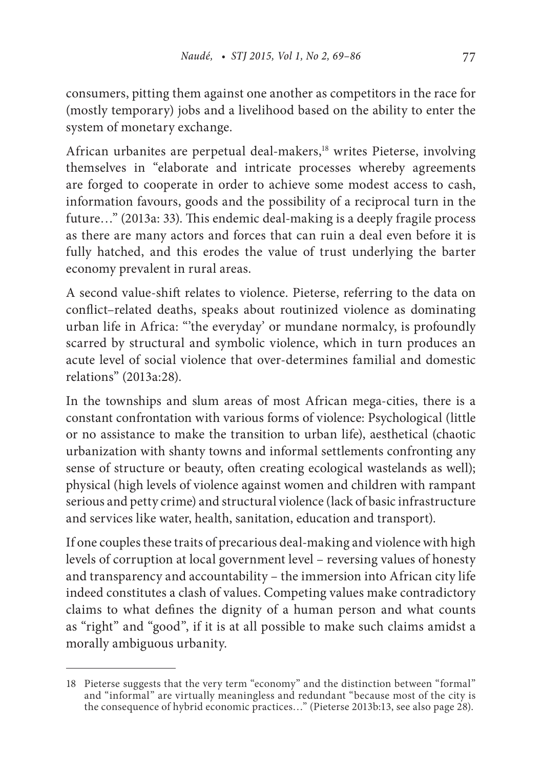consumers, pitting them against one another as competitors in the race for (mostly temporary) jobs and a livelihood based on the ability to enter the system of monetary exchange.

African urbanites are perpetual deal-makers,<sup>18</sup> writes Pieterse, involving themselves in "elaborate and intricate processes whereby agreements are forged to cooperate in order to achieve some modest access to cash, information favours, goods and the possibility of a reciprocal turn in the future…" (2013a: 33). This endemic deal-making is a deeply fragile process as there are many actors and forces that can ruin a deal even before it is fully hatched, and this erodes the value of trust underlying the barter economy prevalent in rural areas.

A second value-shift relates to violence. Pieterse, referring to the data on conflict–related deaths, speaks about routinized violence as dominating urban life in Africa: "'the everyday' or mundane normalcy, is profoundly scarred by structural and symbolic violence, which in turn produces an acute level of social violence that over-determines familial and domestic relations" (2013a:28).

In the townships and slum areas of most African mega-cities, there is a constant confrontation with various forms of violence: Psychological (little or no assistance to make the transition to urban life), aesthetical (chaotic urbanization with shanty towns and informal settlements confronting any sense of structure or beauty, often creating ecological wastelands as well); physical (high levels of violence against women and children with rampant serious and petty crime) and structural violence (lack of basic infrastructure and services like water, health, sanitation, education and transport).

If one couples these traits of precarious deal-making and violence with high levels of corruption at local government level – reversing values of honesty and transparency and accountability – the immersion into African city life indeed constitutes a clash of values. Competing values make contradictory claims to what defines the dignity of a human person and what counts as "right" and "good", if it is at all possible to make such claims amidst a morally ambiguous urbanity.

<sup>18</sup> Pieterse suggests that the very term "economy" and the distinction between "formal" and "informal" are virtually meaningless and redundant "because most of the city is the consequence of hybrid economic practices..." (Pieterse 2013b:13, see also page 28).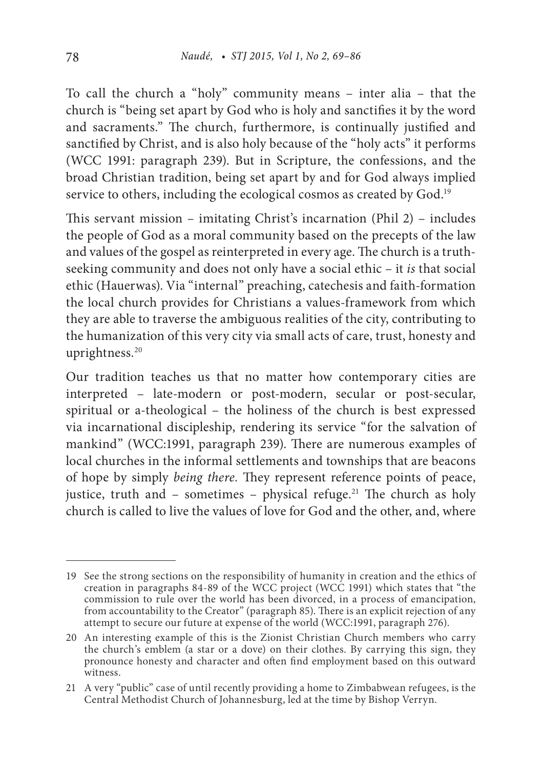To call the church a "holy" community means – inter alia – that the church is "being set apart by God who is holy and sanctifies it by the word and sacraments." The church, furthermore, is continually justified and sanctified by Christ, and is also holy because of the "holy acts" it performs (WCC 1991: paragraph 239). But in Scripture, the confessions, and the broad Christian tradition, being set apart by and for God always implied service to others, including the ecological cosmos as created by God.<sup>19</sup>

This servant mission – imitating Christ's incarnation (Phil 2) – includes the people of God as a moral community based on the precepts of the law and values of the gospel as reinterpreted in every age. The church is a truthseeking community and does not only have a social ethic – it *is* that social ethic (Hauerwas). Via "internal" preaching, catechesis and faith-formation the local church provides for Christians a values-framework from which they are able to traverse the ambiguous realities of the city, contributing to the humanization of this very city via small acts of care, trust, honesty and uprightness.<sup>20</sup>

Our tradition teaches us that no matter how contemporary cities are interpreted – late-modern or post-modern, secular or post-secular, spiritual or a-theological – the holiness of the church is best expressed via incarnational discipleship, rendering its service "for the salvation of mankind" (WCC:1991, paragraph 239). There are numerous examples of local churches in the informal settlements and townships that are beacons of hope by simply *being there.* They represent reference points of peace, justice, truth and – sometimes – physical refuge.<sup>21</sup> The church as holy church is called to live the values of love for God and the other, and, where

<sup>19</sup> See the strong sections on the responsibility of humanity in creation and the ethics of creation in paragraphs 84-89 of the WCC project (WCC 1991) which states that "the commission to rule over the world has been divorced, in a process of emancipation, from accountability to the Creator" (paragraph 85). There is an explicit rejection of any attempt to secure our future at expense of the world (WCC:1991, paragraph 276).

<sup>20</sup> An interesting example of this is the Zionist Christian Church members who carry the church's emblem (a star or a dove) on their clothes. By carrying this sign, they pronounce honesty and character and often find employment based on this outward witness.

<sup>21</sup> A very "public" case of until recently providing a home to Zimbabwean refugees, is the Central Methodist Church of Johannesburg, led at the time by Bishop Verryn.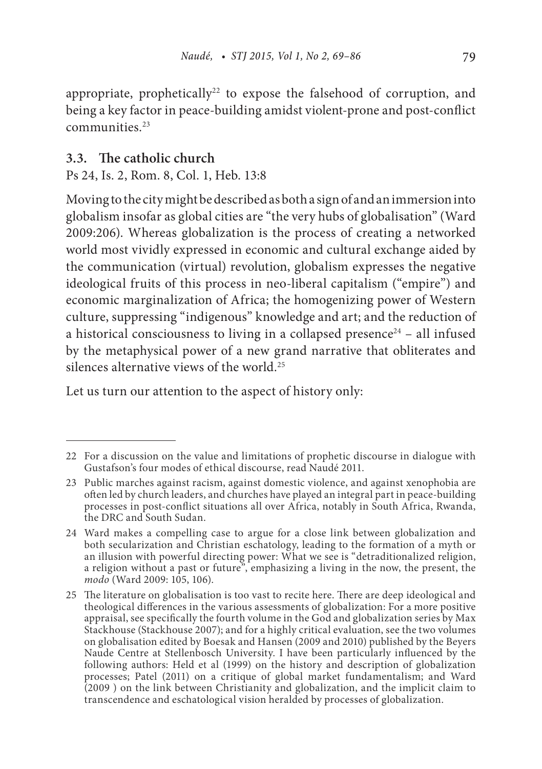appropriate, prophetically<sup>22</sup> to expose the falsehood of corruption, and being a key factor in peace-building amidst violent-prone and post-conflict communities.23

### **3.3. The catholic church**

Ps 24, Is. 2, Rom. 8, Col. 1, Heb. 13:8

Moving to the city might be described as both a sign of and an immersion into globalism insofar as global cities are "the very hubs of globalisation" (Ward 2009:206). Whereas globalization is the process of creating a networked world most vividly expressed in economic and cultural exchange aided by the communication (virtual) revolution, globalism expresses the negative ideological fruits of this process in neo-liberal capitalism ("empire") and economic marginalization of Africa; the homogenizing power of Western culture, suppressing "indigenous" knowledge and art; and the reduction of a historical consciousness to living in a collapsed presence<sup>24</sup> – all infused by the metaphysical power of a new grand narrative that obliterates and silences alternative views of the world.25

Let us turn our attention to the aspect of history only:

<sup>22</sup> For a discussion on the value and limitations of prophetic discourse in dialogue with Gustafson's four modes of ethical discourse, read Naudé 2011.

<sup>23</sup> Public marches against racism, against domestic violence, and against xenophobia are often led by church leaders, and churches have played an integral part in peace-building processes in post-conflict situations all over Africa, notably in South Africa, Rwanda, the DRC and South Sudan.

<sup>24</sup> Ward makes a compelling case to argue for a close link between globalization and both secularization and Christian eschatology, leading to the formation of a myth or an illusion with powerful directing power: What we see is "detraditionalized religion, a religion without a past or future", emphasizing a living in the now, the present, the *modo* (Ward 2009: 105, 106).

<sup>25</sup> The literature on globalisation is too vast to recite here. There are deep ideological and theological differences in the various assessments of globalization: For a more positive appraisal, see specifically the fourth volume in the God and globalization series by Max Stackhouse (Stackhouse 2007); and for a highly critical evaluation, see the two volumes on globalisation edited by Boesak and Hansen (2009 and 2010) published by the Beyers Naude Centre at Stellenbosch University. I have been particularly influenced by the following authors: Held et al (1999) on the history and description of globalization processes; Patel (2011) on a critique of global market fundamentalism; and Ward (2009 ) on the link between Christianity and globalization, and the implicit claim to transcendence and eschatological vision heralded by processes of globalization.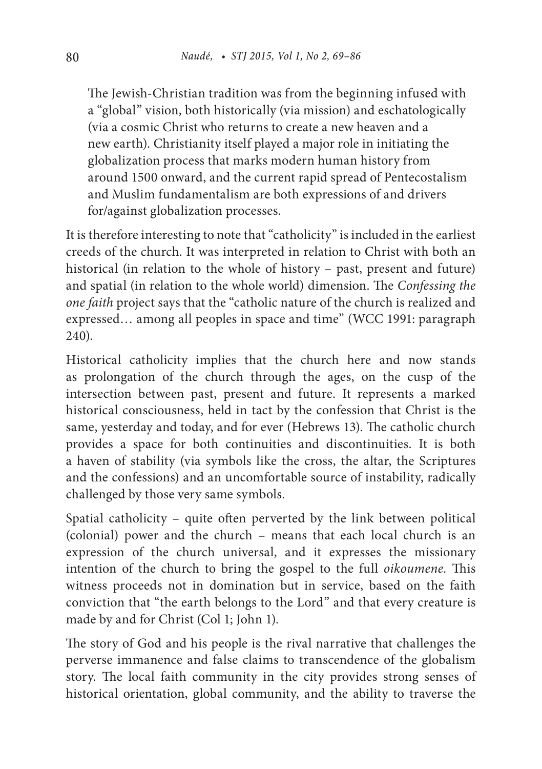The Jewish-Christian tradition was from the beginning infused with a "global" vision, both historically (via mission) and eschatologically (via a cosmic Christ who returns to create a new heaven and a new earth). Christianity itself played a major role in initiating the globalization process that marks modern human history from around 1500 onward, and the current rapid spread of Pentecostalism and Muslim fundamentalism are both expressions of and drivers for/against globalization processes.

It is therefore interesting to note that "catholicity" is included in the earliest creeds of the church. It was interpreted in relation to Christ with both an historical (in relation to the whole of history – past, present and future) and spatial (in relation to the whole world) dimension. The *Confessing the one faith* project says that the "catholic nature of the church is realized and expressed… among all peoples in space and time" (WCC 1991: paragraph 240).

Historical catholicity implies that the church here and now stands as prolongation of the church through the ages, on the cusp of the intersection between past, present and future. It represents a marked historical consciousness, held in tact by the confession that Christ is the same, yesterday and today, and for ever (Hebrews 13). The catholic church provides a space for both continuities and discontinuities. It is both a haven of stability (via symbols like the cross, the altar, the Scriptures and the confessions) and an uncomfortable source of instability, radically challenged by those very same symbols.

Spatial catholicity – quite often perverted by the link between political (colonial) power and the church – means that each local church is an expression of the church universal, and it expresses the missionary intention of the church to bring the gospel to the full *oikoumene.* This witness proceeds not in domination but in service, based on the faith conviction that "the earth belongs to the Lord" and that every creature is made by and for Christ (Col 1; John 1).

The story of God and his people is the rival narrative that challenges the perverse immanence and false claims to transcendence of the globalism story. The local faith community in the city provides strong senses of historical orientation, global community, and the ability to traverse the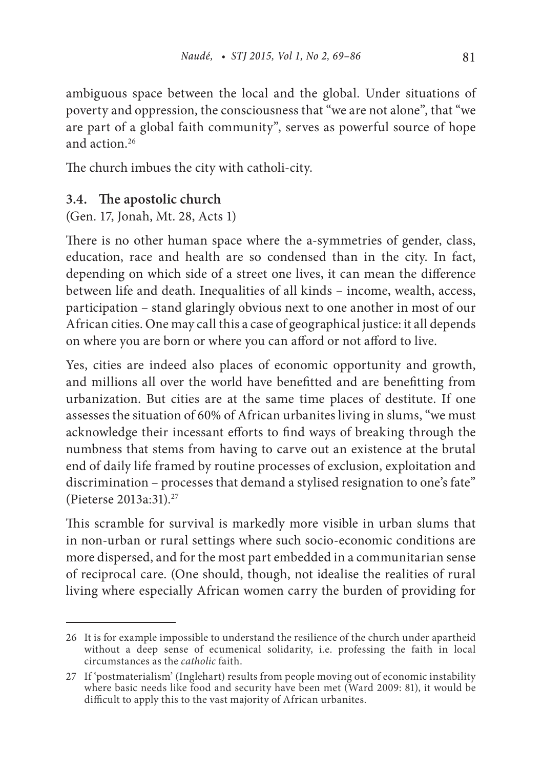ambiguous space between the local and the global. Under situations of poverty and oppression, the consciousness that "we are not alone", that "we are part of a global faith community", serves as powerful source of hope and action<sup>26</sup>

The church imbues the city with catholi-city.

#### **3.4. The apostolic church**

(Gen. 17, Jonah, Mt. 28, Acts 1)

There is no other human space where the a-symmetries of gender, class, education, race and health are so condensed than in the city. In fact, depending on which side of a street one lives, it can mean the difference between life and death. Inequalities of all kinds – income, wealth, access, participation – stand glaringly obvious next to one another in most of our African cities. One may call this a case of geographical justice: it all depends on where you are born or where you can afford or not afford to live.

Yes, cities are indeed also places of economic opportunity and growth, and millions all over the world have benefitted and are benefitting from urbanization. But cities are at the same time places of destitute. If one assesses the situation of 60% of African urbanites living in slums, "we must acknowledge their incessant efforts to find ways of breaking through the numbness that stems from having to carve out an existence at the brutal end of daily life framed by routine processes of exclusion, exploitation and discrimination – processes that demand a stylised resignation to one's fate" (Pieterse 2013a:31).27

This scramble for survival is markedly more visible in urban slums that in non-urban or rural settings where such socio-economic conditions are more dispersed, and for the most part embedded in a communitarian sense of reciprocal care. (One should, though, not idealise the realities of rural living where especially African women carry the burden of providing for

<sup>26</sup> It is for example impossible to understand the resilience of the church under apartheid without a deep sense of ecumenical solidarity, i.e. professing the faith in local circumstances as the *catholic* faith.

<sup>27</sup> If 'postmaterialism' (Inglehart) results from people moving out of economic instability where basic needs like food and security have been met (Ward 2009: 81), it would be difficult to apply this to the vast majority of African urbanites.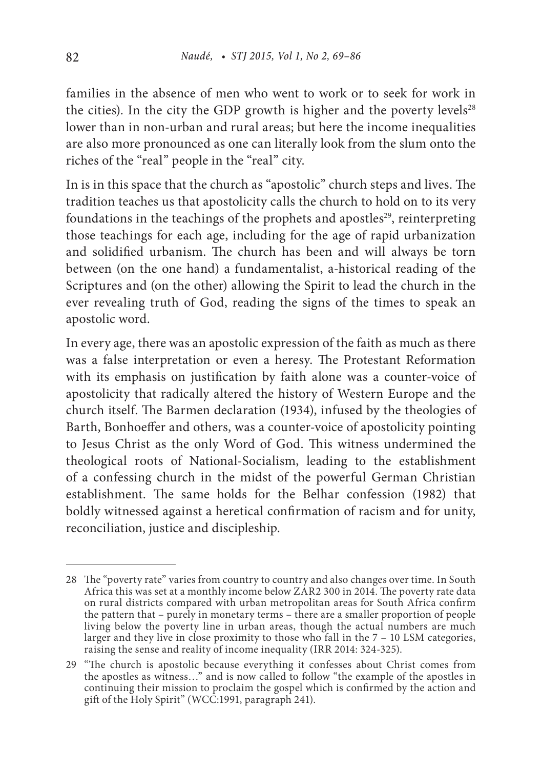families in the absence of men who went to work or to seek for work in the cities). In the city the GDP growth is higher and the poverty levels<sup>28</sup> lower than in non-urban and rural areas; but here the income inequalities are also more pronounced as one can literally look from the slum onto the riches of the "real" people in the "real" city.

In is in this space that the church as "apostolic" church steps and lives. The tradition teaches us that apostolicity calls the church to hold on to its very foundations in the teachings of the prophets and apostles<sup>29</sup>, reinterpreting those teachings for each age, including for the age of rapid urbanization and solidified urbanism. The church has been and will always be torn between (on the one hand) a fundamentalist, a-historical reading of the Scriptures and (on the other) allowing the Spirit to lead the church in the ever revealing truth of God, reading the signs of the times to speak an apostolic word.

In every age, there was an apostolic expression of the faith as much as there was a false interpretation or even a heresy. The Protestant Reformation with its emphasis on justification by faith alone was a counter-voice of apostolicity that radically altered the history of Western Europe and the church itself. The Barmen declaration (1934), infused by the theologies of Barth, Bonhoeffer and others, was a counter-voice of apostolicity pointing to Jesus Christ as the only Word of God. This witness undermined the theological roots of National-Socialism, leading to the establishment of a confessing church in the midst of the powerful German Christian establishment. The same holds for the Belhar confession (1982) that boldly witnessed against a heretical confirmation of racism and for unity, reconciliation, justice and discipleship.

<sup>28</sup> The "poverty rate" varies from country to country and also changes over time. In South Africa this was set at a monthly income below ZAR2 300 in 2014. The poverty rate data on rural districts compared with urban metropolitan areas for South Africa confirm the pattern that – purely in monetary terms – there are a smaller proportion of people living below the poverty line in urban areas, though the actual numbers are much larger and they live in close proximity to those who fall in the  $7 - 10$  LSM categories, raising the sense and reality of income inequality (IRR 2014: 324-325).

<sup>29</sup> "The church is apostolic because everything it confesses about Christ comes from the apostles as witness…" and is now called to follow "the example of the apostles in continuing their mission to proclaim the gospel which is confirmed by the action and gift of the Holy Spirit" (WCC:1991, paragraph 241).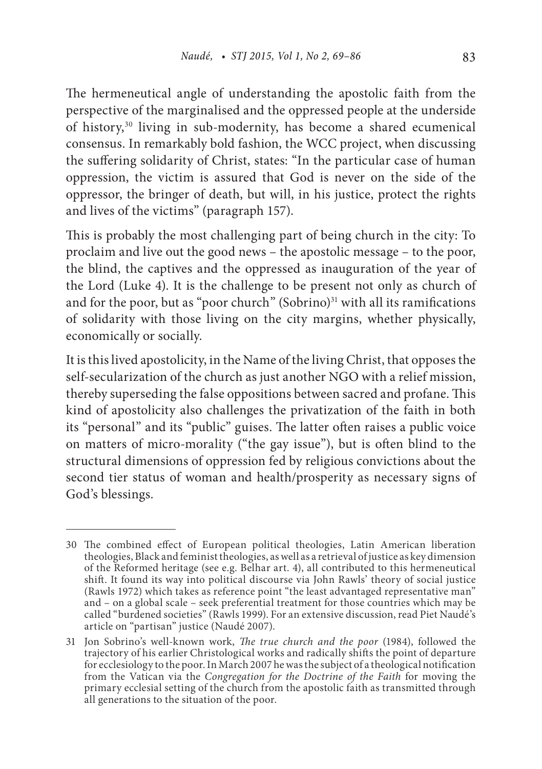The hermeneutical angle of understanding the apostolic faith from the perspective of the marginalised and the oppressed people at the underside of history,30 living in sub-modernity, has become a shared ecumenical consensus. In remarkably bold fashion, the WCC project, when discussing the suffering solidarity of Christ, states: "In the particular case of human oppression, the victim is assured that God is never on the side of the oppressor, the bringer of death, but will, in his justice, protect the rights and lives of the victims" (paragraph 157).

This is probably the most challenging part of being church in the city: To proclaim and live out the good news – the apostolic message – to the poor, the blind, the captives and the oppressed as inauguration of the year of the Lord (Luke 4). It is the challenge to be present not only as church of and for the poor, but as "poor church" (Sobrino) $31$  with all its ramifications of solidarity with those living on the city margins, whether physically, economically or socially.

It is this lived apostolicity, in the Name of the living Christ, that opposes the self-secularization of the church as just another NGO with a relief mission, thereby superseding the false oppositions between sacred and profane. This kind of apostolicity also challenges the privatization of the faith in both its "personal" and its "public" guises. The latter often raises a public voice on matters of micro-morality ("the gay issue"), but is often blind to the structural dimensions of oppression fed by religious convictions about the second tier status of woman and health/prosperity as necessary signs of God's blessings.

<sup>30</sup> The combined effect of European political theologies, Latin American liberation theologies, Black and feminist theologies, as well as a retrieval of justice as key dimension of the Reformed heritage (see e.g. Belhar art. 4), all contributed to this hermeneutical shift. It found its way into political discourse via John Rawls' theory of social justice (Rawls 1972) which takes as reference point "the least advantaged representative man" and – on a global scale – seek preferential treatment for those countries which may be called "burdened societies" (Rawls 1999). For an extensive discussion, read Piet Naudé's article on "partisan" justice (Naudé 2007).

<sup>31</sup> Jon Sobrino's well-known work, *The true church and the poor* (1984), followed the trajectory of his earlier Christological works and radically shifts the point of departure for ecclesiology to the poor. In March 2007 he was the subject of a theological notification from the Vatican via the *Congregation for the Doctrine of the Faith* for moving the primary ecclesial setting of the church from the apostolic faith as transmitted through all generations to the situation of the poor.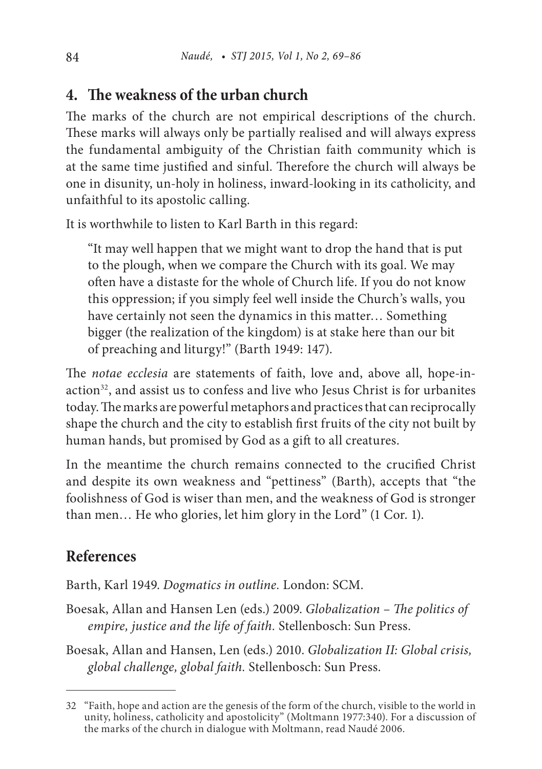### **4. The weakness of the urban church**

The marks of the church are not empirical descriptions of the church. These marks will always only be partially realised and will always express the fundamental ambiguity of the Christian faith community which is at the same time justified and sinful. Therefore the church will always be one in disunity, un-holy in holiness, inward-looking in its catholicity, and unfaithful to its apostolic calling.

It is worthwhile to listen to Karl Barth in this regard:

"It may well happen that we might want to drop the hand that is put to the plough, when we compare the Church with its goal. We may often have a distaste for the whole of Church life. If you do not know this oppression; if you simply feel well inside the Church's walls, you have certainly not seen the dynamics in this matter… Something bigger (the realization of the kingdom) is at stake here than our bit of preaching and liturgy!" (Barth 1949: 147).

The *notae ecclesia* are statements of faith, love and, above all, hope-inaction<sup>32</sup>, and assist us to confess and live who Jesus Christ is for urbanites today. The marks are powerful metaphors and practices that can reciprocally shape the church and the city to establish first fruits of the city not built by human hands, but promised by God as a gift to all creatures.

In the meantime the church remains connected to the crucified Christ and despite its own weakness and "pettiness" (Barth), accepts that "the foolishness of God is wiser than men, and the weakness of God is stronger than men… He who glories, let him glory in the Lord" (1 Cor. 1).

### **References**

Barth, Karl 1949. *Dogmatics in outline.* London: SCM.

Boesak, Allan and Hansen Len (eds.) 2009. *Globalization – The politics of empire, justice and the life of faith.* Stellenbosch: Sun Press.

Boesak, Allan and Hansen, Len (eds.) 2010. *Globalization II: Global crisis, global challenge, global faith.* Stellenbosch: Sun Press.

<sup>32</sup> "Faith, hope and action are the genesis of the form of the church, visible to the world in unity, holiness, catholicity and apostolicity" (Moltmann 1977:340). For a discussion of the marks of the church in dialogue with Moltmann, read Naudé 2006.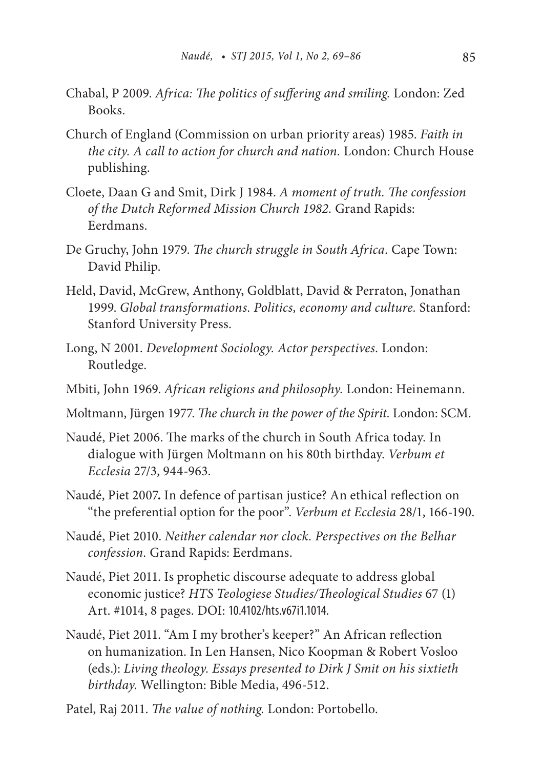- Chabal, P 2009. *Africa: The politics of suffering and smiling.* London: Zed Books.
- Church of England (Commission on urban priority areas) 1985. *Faith in the city. A call to action for church and nation.* London: Church House publishing.
- Cloete, Daan G and Smit, Dirk J 1984. *A moment of truth. The confession of the Dutch Reformed Mission Church 1982.* Grand Rapids: Eerdmans.
- De Gruchy, John 1979. *The church struggle in South Africa.* Cape Town: David Philip.
- Held, David, McGrew, Anthony, Goldblatt, David & Perraton, Jonathan 1999. *Global transformations. Politics, economy and culture.* Stanford: Stanford University Press.
- Long, N 2001. *Development Sociology. Actor perspectives.* London: Routledge.
- Mbiti, John 1969. *African religions and philosophy.* London: Heinemann.
- Moltmann, Jürgen 1977. *The church in the power of the Spirit.* London: SCM.
- Naudé, Piet 2006. The marks of the church in South Africa today. In dialogue with Jürgen Moltmann on his 80th birthday. *Verbum et Ecclesia* 27/3, 944-963.
- Naudé, Piet 2007**.** In defence of partisan justice? An ethical reflection on "the preferential option for the poor". *Verbum et Ecclesia* 28/1, 166-190.
- Naudé, Piet 2010. *Neither calendar nor clock. Perspectives on the Belhar confession.* Grand Rapids: Eerdmans.
- Naudé, Piet 2011. Is prophetic discourse adequate to address global economic justice? *HTS Teologiese Studies/Theological Studies* 67 (1) Art. #1014, 8 pages. DOI: 10.4102/hts.v67i1.1014.
- Naudé, Piet 2011. "Am I my brother's keeper?" An African reflection on humanization. In Len Hansen, Nico Koopman & Robert Vosloo (eds.): *Living theology. Essays presented to Dirk J Smit on his sixtieth birthday.* Wellington: Bible Media, 496-512.
- Patel, Raj 2011. *The value of nothing.* London: Portobello.